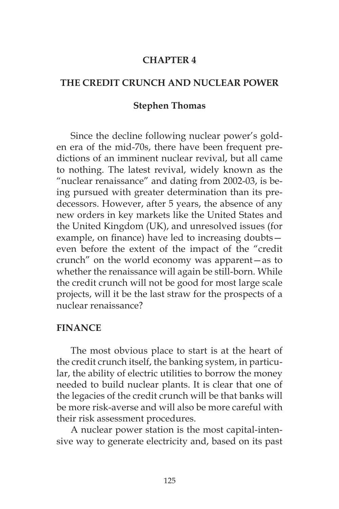#### **CHAPTER 4**

#### **THE CREDIT CRUNCH AND NUCLEAR POWER**

#### **Stephen Thomas**

Since the decline following nuclear power's golden era of the mid-70s, there have been frequent predictions of an imminent nuclear revival, but all came to nothing. The latest revival, widely known as the "nuclear renaissance" and dating from 2002-03, is being pursued with greater determination than its predecessors. However, after 5 years, the absence of any new orders in key markets like the United States and the United Kingdom (UK), and unresolved issues (for example, on finance) have led to increasing doubts even before the extent of the impact of the "credit crunch" on the world economy was apparent—as to whether the renaissance will again be still-born. While the credit crunch will not be good for most large scale projects, will it be the last straw for the prospects of a nuclear renaissance?

#### **FINANCE**

The most obvious place to start is at the heart of the credit crunch itself, the banking system, in particular, the ability of electric utilities to borrow the money needed to build nuclear plants. It is clear that one of the legacies of the credit crunch will be that banks will be more risk-averse and will also be more careful with their risk assessment procedures.

A nuclear power station is the most capital-intensive way to generate electricity and, based on its past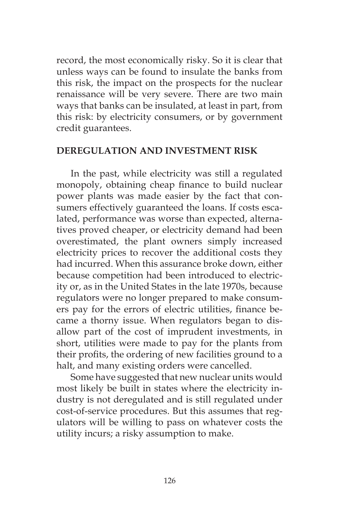record, the most economically risky. So it is clear that unless ways can be found to insulate the banks from this risk, the impact on the prospects for the nuclear renaissance will be very severe. There are two main ways that banks can be insulated, at least in part, from this risk: by electricity consumers, or by government credit guarantees.

#### **DEREGULATION AND INVESTMENT RISK**

In the past, while electricity was still a regulated monopoly, obtaining cheap finance to build nuclear power plants was made easier by the fact that consumers effectively guaranteed the loans. If costs escalated, performance was worse than expected, alternatives proved cheaper, or electricity demand had been overestimated, the plant owners simply increased electricity prices to recover the additional costs they had incurred. When this assurance broke down, either because competition had been introduced to electricity or, as in the United States in the late 1970s, because regulators were no longer prepared to make consumers pay for the errors of electric utilities, finance became a thorny issue. When regulators began to disallow part of the cost of imprudent investments, in short, utilities were made to pay for the plants from their profits, the ordering of new facilities ground to a halt, and many existing orders were cancelled.

Some have suggested that new nuclear units would most likely be built in states where the electricity industry is not deregulated and is still regulated under cost-of-service procedures. But this assumes that regulators will be willing to pass on whatever costs the utility incurs; a risky assumption to make.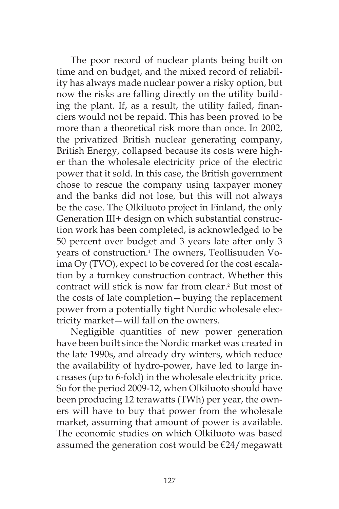The poor record of nuclear plants being built on time and on budget, and the mixed record of reliability has always made nuclear power a risky option, but now the risks are falling directly on the utility building the plant. If, as a result, the utility failed, financiers would not be repaid. This has been proved to be more than a theoretical risk more than once. In 2002, the privatized British nuclear generating company, British Energy, collapsed because its costs were higher than the wholesale electricity price of the electric power that it sold. In this case, the British government chose to rescue the company using taxpayer money and the banks did not lose, but this will not always be the case. The Olkiluoto project in Finland, the only Generation III+ design on which substantial construction work has been completed, is acknowledged to be 50 percent over budget and 3 years late after only 3 years of construction.1 The owners, Teollisuuden Voima Oy (TVO), expect to be covered for the cost escalation by a turnkey construction contract. Whether this contract will stick is now far from clear.2 But most of the costs of late completion—buying the replacement power from a potentially tight Nordic wholesale electricity market—will fall on the owners.

Negligible quantities of new power generation have been built since the Nordic market was created in the late 1990s, and already dry winters, which reduce the availability of hydro-power, have led to large increases (up to 6-fold) in the wholesale electricity price. So for the period 2009-12, when Olkiluoto should have been producing 12 terawatts (TWh) per year, the owners will have to buy that power from the wholesale market, assuming that amount of power is available. The economic studies on which Olkiluoto was based assumed the generation cost would be  $\epsilon$ 24/megawatt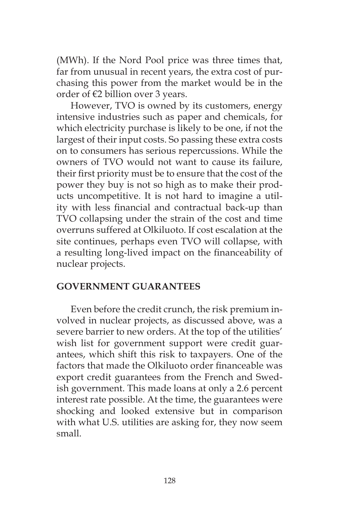(MWh). If the Nord Pool price was three times that, far from unusual in recent years, the extra cost of purchasing this power from the market would be in the order of  $E2$  billion over 3 years.

However, TVO is owned by its customers, energy intensive industries such as paper and chemicals, for which electricity purchase is likely to be one, if not the largest of their input costs. So passing these extra costs on to consumers has serious repercussions. While the owners of TVO would not want to cause its failure, their first priority must be to ensure that the cost of the power they buy is not so high as to make their products uncompetitive. It is not hard to imagine a utility with less financial and contractual back-up than TVO collapsing under the strain of the cost and time overruns suffered at Olkiluoto. If cost escalation at the site continues, perhaps even TVO will collapse, with a resulting long-lived impact on the financeability of nuclear projects.

### **GOVERNMENT GUARANTEES**

Even before the credit crunch, the risk premium involved in nuclear projects, as discussed above, was a severe barrier to new orders. At the top of the utilities' wish list for government support were credit guarantees, which shift this risk to taxpayers. One of the factors that made the Olkiluoto order financeable was export credit guarantees from the French and Swedish government. This made loans at only a 2.6 percent interest rate possible. At the time, the guarantees were shocking and looked extensive but in comparison with what U.S. utilities are asking for, they now seem small.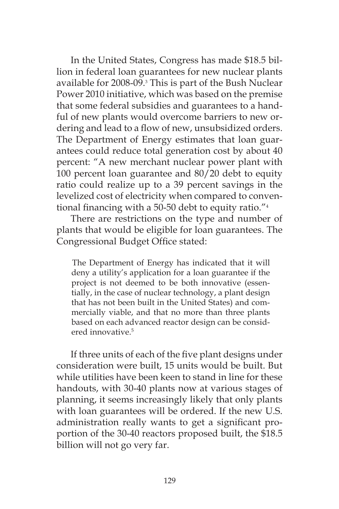In the United States, Congress has made \$18.5 billion in federal loan guarantees for new nuclear plants available for 2008-09.3 This is part of the Bush Nuclear Power 2010 initiative, which was based on the premise that some federal subsidies and guarantees to a handful of new plants would overcome barriers to new ordering and lead to a flow of new, unsubsidized orders. The Department of Energy estimates that loan guarantees could reduce total generation cost by about 40 percent: "A new merchant nuclear power plant with 100 percent loan guarantee and 80/20 debt to equity ratio could realize up to a 39 percent savings in the levelized cost of electricity when compared to conventional financing with a 50-50 debt to equity ratio."4

There are restrictions on the type and number of plants that would be eligible for loan guarantees. The Congressional Budget Office stated:

The Department of Energy has indicated that it will deny a utility's application for a loan guarantee if the project is not deemed to be both innovative (essentially, in the case of nuclear technology, a plant design that has not been built in the United States) and commercially viable, and that no more than three plants based on each advanced reactor design can be considered innovative.5

If three units of each of the five plant designs under consideration were built, 15 units would be built. But while utilities have been keen to stand in line for these handouts, with 30-40 plants now at various stages of planning, it seems increasingly likely that only plants with loan guarantees will be ordered. If the new U.S. administration really wants to get a significant proportion of the 30-40 reactors proposed built, the \$18.5 billion will not go very far.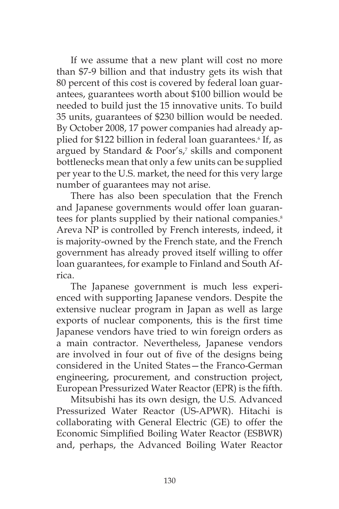If we assume that a new plant will cost no more than \$7-9 billion and that industry gets its wish that 80 percent of this cost is covered by federal loan guarantees, guarantees worth about \$100 billion would be needed to build just the 15 innovative units. To build 35 units, guarantees of \$230 billion would be needed. By October 2008, 17 power companies had already applied for \$122 billion in federal loan guarantees.<sup>6</sup> If, as argued by Standard & Poor's,7 skills and component bottlenecks mean that only a few units can be supplied per year to the U.S. market, the need for this very large number of guarantees may not arise.

There has also been speculation that the French and Japanese governments would offer loan guarantees for plants supplied by their national companies.<sup>8</sup> Areva NP is controlled by French interests, indeed, it is majority-owned by the French state, and the French government has already proved itself willing to offer loan guarantees, for example to Finland and South Africa.

The Japanese government is much less experienced with supporting Japanese vendors. Despite the extensive nuclear program in Japan as well as large exports of nuclear components, this is the first time Japanese vendors have tried to win foreign orders as a main contractor. Nevertheless, Japanese vendors are involved in four out of five of the designs being considered in the United States—the Franco-German engineering, procurement, and construction project, European Pressurized Water Reactor (EPR) is the fifth.

Mitsubishi has its own design, the U.S. Advanced Pressurized Water Reactor (US-APWR). Hitachi is collaborating with General Electric (GE) to offer the Economic Simplified Boiling Water Reactor (ESBWR) and, perhaps, the Advanced Boiling Water Reactor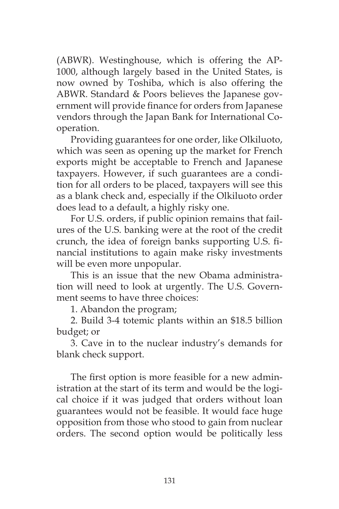(ABWR). Westinghouse, which is offering the AP-1000, although largely based in the United States, is now owned by Toshiba, which is also offering the ABWR. Standard & Poors believes the Japanese government will provide finance for orders from Japanese vendors through the Japan Bank for International Cooperation.

Providing guarantees for one order, like Olkiluoto, which was seen as opening up the market for French exports might be acceptable to French and Japanese taxpayers. However, if such guarantees are a condition for all orders to be placed, taxpayers will see this as a blank check and, especially if the Olkiluoto order does lead to a default, a highly risky one.

For U.S. orders, if public opinion remains that failures of the U.S. banking were at the root of the credit crunch, the idea of foreign banks supporting U.S. financial institutions to again make risky investments will be even more unpopular.

This is an issue that the new Obama administration will need to look at urgently. The U.S. Government seems to have three choices:

1. Abandon the program;

2. Build 3-4 totemic plants within an \$18.5 billion budget; or

3. Cave in to the nuclear industry's demands for blank check support.

The first option is more feasible for a new administration at the start of its term and would be the logical choice if it was judged that orders without loan guarantees would not be feasible. It would face huge opposition from those who stood to gain from nuclear orders. The second option would be politically less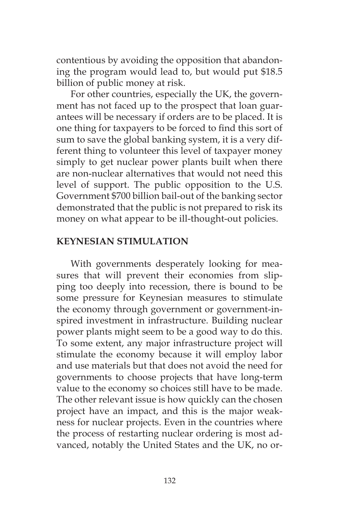contentious by avoiding the opposition that abandoning the program would lead to, but would put \$18.5 billion of public money at risk.

For other countries, especially the UK, the government has not faced up to the prospect that loan guarantees will be necessary if orders are to be placed. It is one thing for taxpayers to be forced to find this sort of sum to save the global banking system, it is a very different thing to volunteer this level of taxpayer money simply to get nuclear power plants built when there are non-nuclear alternatives that would not need this level of support. The public opposition to the U.S. Government \$700 billion bail-out of the banking sector demonstrated that the public is not prepared to risk its money on what appear to be ill-thought-out policies.

### **KEYNESIAN STIMULATION**

With governments desperately looking for measures that will prevent their economies from slipping too deeply into recession, there is bound to be some pressure for Keynesian measures to stimulate the economy through government or government-inspired investment in infrastructure. Building nuclear power plants might seem to be a good way to do this. To some extent, any major infrastructure project will stimulate the economy because it will employ labor and use materials but that does not avoid the need for governments to choose projects that have long-term value to the economy so choices still have to be made. The other relevant issue is how quickly can the chosen project have an impact, and this is the major weakness for nuclear projects. Even in the countries where the process of restarting nuclear ordering is most advanced, notably the United States and the UK, no or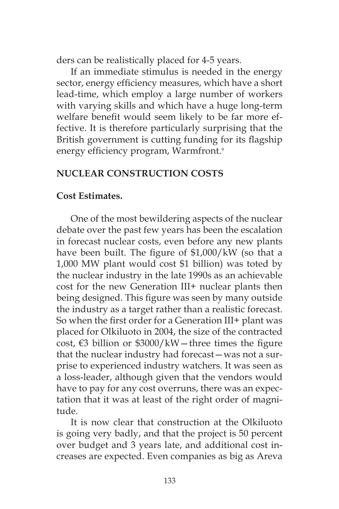ders can be realistically placed for 4-5 years.

If an immediate stimulus is needed in the energy sector, energy efficiency measures, which have a short lead-time, which employ a large number of workers with varying skills and which have a huge long-term welfare benefit would seem likely to be far more effective. It is therefore particularly surprising that the British government is cutting funding for its flagship energy efficiency program, Warmfront.<sup>9</sup>

# **NUCLEAR CONSTRUCTION COSTS**

### **Cost Estimates.**

One of the most bewildering aspects of the nuclear debate over the past few years has been the escalation in forecast nuclear costs, even before any new plants have been built. The figure of \$1,000/kW (so that a 1,000 MW plant would cost \$1 billion) was toted by the nuclear industry in the late 1990s as an achievable cost for the new Generation III+ nuclear plants then being designed. This figure was seen by many outside the industry as a target rather than a realistic forecast. So when the first order for a Generation III+ plant was placed for Olkiluoto in 2004, the size of the contracted cost,  $\epsilon$ 3 billion or \$3000/kW – three times the figure that the nuclear industry had forecast—was not a surprise to experienced industry watchers. It was seen as a loss-leader, although given that the vendors would have to pay for any cost overruns, there was an expectation that it was at least of the right order of magnitude.

It is now clear that construction at the Olkiluoto is going very badly, and that the project is 50 percent over budget and 3 years late, and additional cost increases are expected. Even companies as big as Areva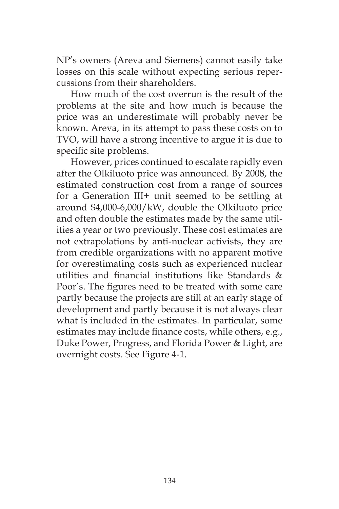NP's owners (Areva and Siemens) cannot easily take losses on this scale without expecting serious repercussions from their shareholders.

How much of the cost overrun is the result of the problems at the site and how much is because the price was an underestimate will probably never be known. Areva, in its attempt to pass these costs on to TVO, will have a strong incentive to argue it is due to specific site problems.

However, prices continued to escalate rapidly even after the Olkiluoto price was announced. By 2008, the estimated construction cost from a range of sources for a Generation III+ unit seemed to be settling at around \$4,000-6,000/kW, double the Olkiluoto price and often double the estimates made by the same utilities a year or two previously. These cost estimates are not extrapolations by anti-nuclear activists, they are from credible organizations with no apparent motive for overestimating costs such as experienced nuclear utilities and financial institutions like Standards & Poor's. The figures need to be treated with some care partly because the projects are still at an early stage of development and partly because it is not always clear what is included in the estimates. In particular, some estimates may include finance costs, while others, e.g., Duke Power, Progress, and Florida Power & Light, are overnight costs. See Figure 4-1.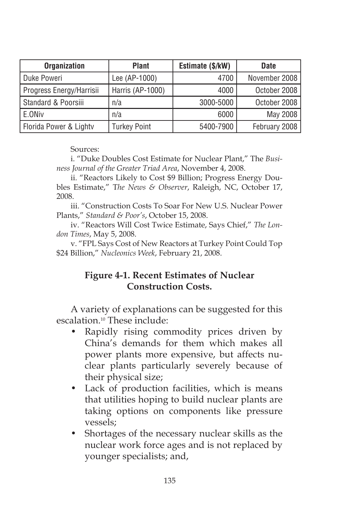| <b>Organization</b>      | <b>Plant</b>        | Estimate (\$/kW) | <b>Date</b>     |
|--------------------------|---------------------|------------------|-----------------|
| Duke Poweri              | Lee (AP-1000)       | 4700             | November 2008   |
| Progress Energy/Harrisii | Harris (AP-1000)    | 4000             | October 2008    |
| Standard & Poorsiii      | n/a                 | 3000-5000        | October 2008    |
| l E.ONiv                 | n/a                 | 6000             | <b>May 2008</b> |
| Florida Power & Lighty   | <b>Turkey Point</b> | 5400-7900        | February 2008   |

Sources:

i. "Duke Doubles Cost Estimate for Nuclear Plant," The *Business Journal of the Greater Triad Area*, November 4, 2008.

ii. "Reactors Likely to Cost \$9 Billion; Progress Energy Doubles Estimate," T*he News & Observer*, Raleigh, NC, October 17, 2008.

iii. "Construction Costs To Soar For New U.S. Nuclear Power Plants," *Standard & Poor's*, October 15, 2008.

iv. "Reactors Will Cost Twice Estimate, Says Chief," *The London Times*, May 5, 2008.

v. "FPL Says Cost of New Reactors at Turkey Point Could Top \$24 Billion," *Nucleonics Week*, February 21, 2008.

# **Figure 4-1. Recent Estimates of Nuclear Construction Costs.**

A variety of explanations can be suggested for this escalation.10 These include:

- Rapidly rising commodity prices driven by China's demands for them which makes all power plants more expensive, but affects nuclear plants particularly severely because of their physical size;
- Lack of production facilities, which is means that utilities hoping to build nuclear plants are taking options on components like pressure vessels;
- Shortages of the necessary nuclear skills as the nuclear work force ages and is not replaced by younger specialists; and,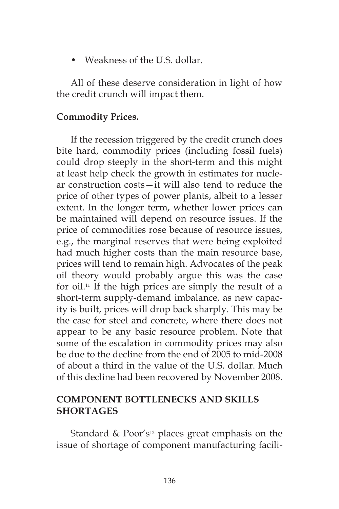• Weakness of the U.S. dollar.

All of these deserve consideration in light of how the credit crunch will impact them.

#### **Commodity Prices.**

If the recession triggered by the credit crunch does bite hard, commodity prices (including fossil fuels) could drop steeply in the short-term and this might at least help check the growth in estimates for nuclear construction costs—it will also tend to reduce the price of other types of power plants, albeit to a lesser extent. In the longer term, whether lower prices can be maintained will depend on resource issues. If the price of commodities rose because of resource issues, e.g., the marginal reserves that were being exploited had much higher costs than the main resource base, prices will tend to remain high. Advocates of the peak oil theory would probably argue this was the case for oil.11 If the high prices are simply the result of a short-term supply-demand imbalance, as new capacity is built, prices will drop back sharply. This may be the case for steel and concrete, where there does not appear to be any basic resource problem. Note that some of the escalation in commodity prices may also be due to the decline from the end of 2005 to mid-2008 of about a third in the value of the U.S. dollar. Much of this decline had been recovered by November 2008.

### **COMPONENT BOTTLENECKS AND SKILLS SHORTAGES**

Standard  $\&$  Poor's<sup>12</sup> places great emphasis on the issue of shortage of component manufacturing facili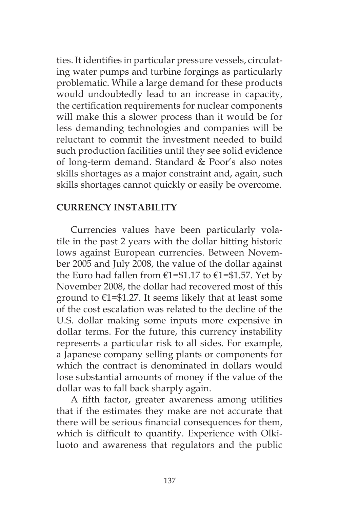ties. It identifies in particular pressure vessels, circulating water pumps and turbine forgings as particularly problematic. While a large demand for these products would undoubtedly lead to an increase in capacity, the certification requirements for nuclear components will make this a slower process than it would be for less demanding technologies and companies will be reluctant to commit the investment needed to build such production facilities until they see solid evidence of long-term demand. Standard & Poor's also notes skills shortages as a major constraint and, again, such skills shortages cannot quickly or easily be overcome.

### **CURRENCY INSTABILITY**

Currencies values have been particularly volatile in the past 2 years with the dollar hitting historic lows against European currencies. Between November 2005 and July 2008, the value of the dollar against the Euro had fallen from €1=\$1.17 to €1=\$1.57. Yet by November 2008, the dollar had recovered most of this ground to  $E1 = $1.27$ . It seems likely that at least some of the cost escalation was related to the decline of the U.S. dollar making some inputs more expensive in dollar terms. For the future, this currency instability represents a particular risk to all sides. For example, a Japanese company selling plants or components for which the contract is denominated in dollars would lose substantial amounts of money if the value of the dollar was to fall back sharply again.

A fifth factor, greater awareness among utilities that if the estimates they make are not accurate that there will be serious financial consequences for them, which is difficult to quantify. Experience with Olkiluoto and awareness that regulators and the public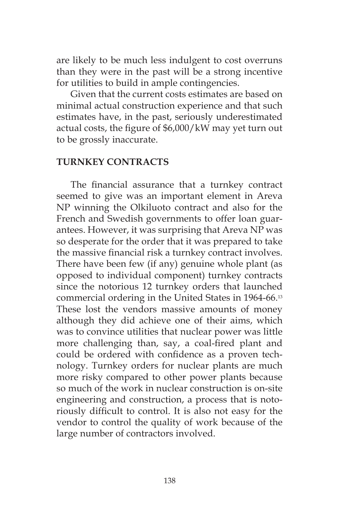are likely to be much less indulgent to cost overruns than they were in the past will be a strong incentive for utilities to build in ample contingencies.

Given that the current costs estimates are based on minimal actual construction experience and that such estimates have, in the past, seriously underestimated actual costs, the figure of \$6,000/kW may yet turn out to be grossly inaccurate.

### **TURNKEY CONTRACTS**

The financial assurance that a turnkey contract seemed to give was an important element in Areva NP winning the Olkiluoto contract and also for the French and Swedish governments to offer loan guarantees. However, it was surprising that Areva NP was so desperate for the order that it was prepared to take the massive financial risk a turnkey contract involves. There have been few (if any) genuine whole plant (as opposed to individual component) turnkey contracts since the notorious 12 turnkey orders that launched commercial ordering in the United States in 1964-66.13 These lost the vendors massive amounts of money although they did achieve one of their aims, which was to convince utilities that nuclear power was little more challenging than, say, a coal-fired plant and could be ordered with confidence as a proven technology. Turnkey orders for nuclear plants are much more risky compared to other power plants because so much of the work in nuclear construction is on-site engineering and construction, a process that is notoriously difficult to control. It is also not easy for the vendor to control the quality of work because of the large number of contractors involved.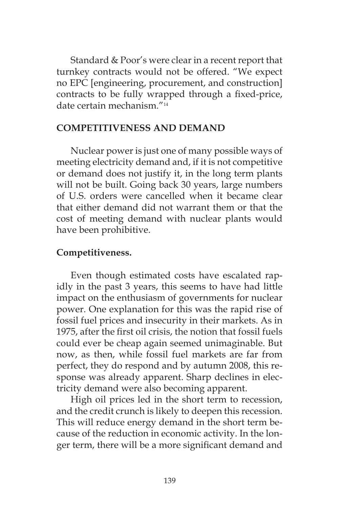Standard & Poor's were clear in a recent report that turnkey contracts would not be offered. "We expect no EPC [engineering, procurement, and construction] contracts to be fully wrapped through a fixed-price, date certain mechanism."14

### **COMPETITIVENESS AND DEMAND**

Nuclear power is just one of many possible ways of meeting electricity demand and, if it is not competitive or demand does not justify it, in the long term plants will not be built. Going back 30 years, large numbers of U.S. orders were cancelled when it became clear that either demand did not warrant them or that the cost of meeting demand with nuclear plants would have been prohibitive.

## **Competitiveness.**

Even though estimated costs have escalated rapidly in the past 3 years, this seems to have had little impact on the enthusiasm of governments for nuclear power. One explanation for this was the rapid rise of fossil fuel prices and insecurity in their markets. As in 1975, after the first oil crisis, the notion that fossil fuels could ever be cheap again seemed unimaginable. But now, as then, while fossil fuel markets are far from perfect, they do respond and by autumn 2008, this response was already apparent. Sharp declines in electricity demand were also becoming apparent.

High oil prices led in the short term to recession, and the credit crunch is likely to deepen this recession. This will reduce energy demand in the short term because of the reduction in economic activity. In the longer term, there will be a more significant demand and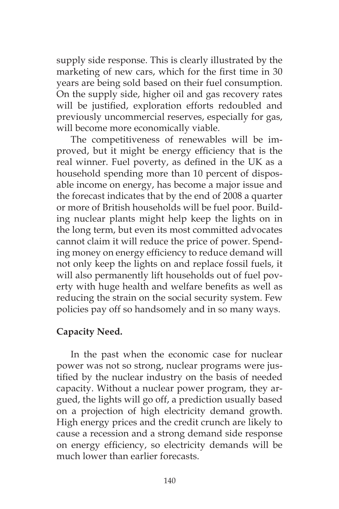supply side response. This is clearly illustrated by the marketing of new cars, which for the first time in 30 years are being sold based on their fuel consumption. On the supply side, higher oil and gas recovery rates will be justified, exploration efforts redoubled and previously uncommercial reserves, especially for gas, will become more economically viable.

The competitiveness of renewables will be improved, but it might be energy efficiency that is the real winner. Fuel poverty, as defined in the UK as a household spending more than 10 percent of disposable income on energy, has become a major issue and the forecast indicates that by the end of 2008 a quarter or more of British households will be fuel poor. Building nuclear plants might help keep the lights on in the long term, but even its most committed advocates cannot claim it will reduce the price of power. Spending money on energy efficiency to reduce demand will not only keep the lights on and replace fossil fuels, it will also permanently lift households out of fuel poverty with huge health and welfare benefits as well as reducing the strain on the social security system. Few policies pay off so handsomely and in so many ways.

### **Capacity Need.**

In the past when the economic case for nuclear power was not so strong, nuclear programs were justified by the nuclear industry on the basis of needed capacity. Without a nuclear power program, they argued, the lights will go off, a prediction usually based on a projection of high electricity demand growth. High energy prices and the credit crunch are likely to cause a recession and a strong demand side response on energy efficiency, so electricity demands will be much lower than earlier forecasts.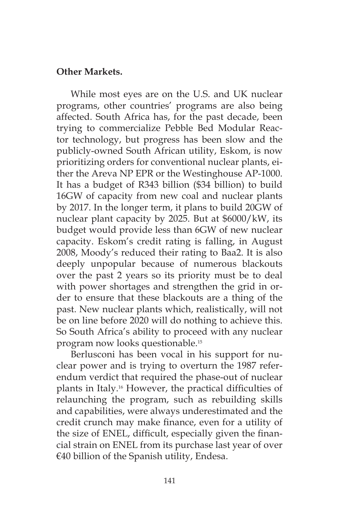### **Other Markets.**

While most eyes are on the U.S. and UK nuclear programs, other countries' programs are also being affected. South Africa has, for the past decade, been trying to commercialize Pebble Bed Modular Reactor technology, but progress has been slow and the publicly-owned South African utility, Eskom, is now prioritizing orders for conventional nuclear plants, either the Areva NP EPR or the Westinghouse AP-1000. It has a budget of R343 billion (\$34 billion) to build 16GW of capacity from new coal and nuclear plants by 2017. In the longer term, it plans to build 20GW of nuclear plant capacity by 2025. But at \$6000/kW, its budget would provide less than 6GW of new nuclear capacity. Eskom's credit rating is falling, in August 2008, Moody's reduced their rating to Baa2. It is also deeply unpopular because of numerous blackouts over the past 2 years so its priority must be to deal with power shortages and strengthen the grid in order to ensure that these blackouts are a thing of the past. New nuclear plants which, realistically, will not be on line before 2020 will do nothing to achieve this. So South Africa's ability to proceed with any nuclear program now looks questionable.15

Berlusconi has been vocal in his support for nuclear power and is trying to overturn the 1987 referendum verdict that required the phase-out of nuclear plants in Italy.16 However, the practical difficulties of relaunching the program, such as rebuilding skills and capabilities, were always underestimated and the credit crunch may make finance, even for a utility of the size of ENEL, difficult, especially given the financial strain on ENEL from its purchase last year of over €40 billion of the Spanish utility, Endesa.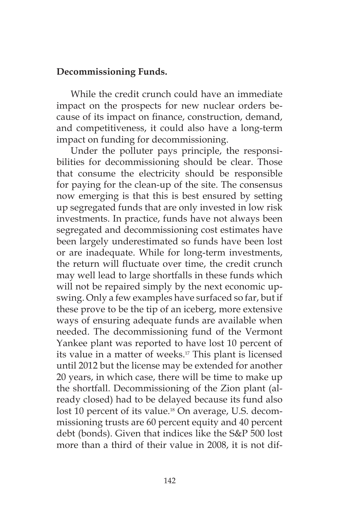### **Decommissioning Funds.**

While the credit crunch could have an immediate impact on the prospects for new nuclear orders because of its impact on finance, construction, demand, and competitiveness, it could also have a long-term impact on funding for decommissioning.

Under the polluter pays principle, the responsibilities for decommissioning should be clear. Those that consume the electricity should be responsible for paying for the clean-up of the site. The consensus now emerging is that this is best ensured by setting up segregated funds that are only invested in low risk investments. In practice, funds have not always been segregated and decommissioning cost estimates have been largely underestimated so funds have been lost or are inadequate. While for long-term investments, the return will fluctuate over time, the credit crunch may well lead to large shortfalls in these funds which will not be repaired simply by the next economic upswing. Only a few examples have surfaced so far, but if these prove to be the tip of an iceberg, more extensive ways of ensuring adequate funds are available when needed. The decommissioning fund of the Vermont Yankee plant was reported to have lost 10 percent of its value in a matter of weeks.17 This plant is licensed until 2012 but the license may be extended for another 20 years, in which case, there will be time to make up the shortfall. Decommissioning of the Zion plant (already closed) had to be delayed because its fund also lost 10 percent of its value.<sup>18</sup> On average, U.S. decommissioning trusts are 60 percent equity and 40 percent debt (bonds). Given that indices like the S&P 500 lost more than a third of their value in 2008, it is not dif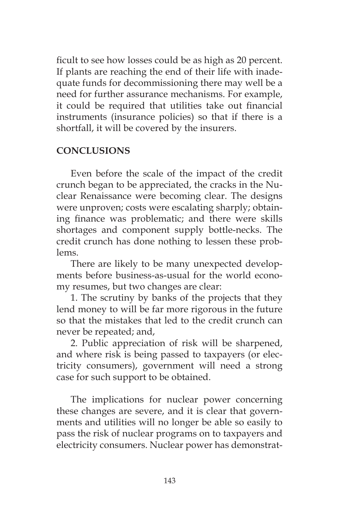ficult to see how losses could be as high as 20 percent. If plants are reaching the end of their life with inadequate funds for decommissioning there may well be a need for further assurance mechanisms. For example, it could be required that utilities take out financial instruments (insurance policies) so that if there is a shortfall, it will be covered by the insurers.

### **CONCLUSIONS**

Even before the scale of the impact of the credit crunch began to be appreciated, the cracks in the Nuclear Renaissance were becoming clear. The designs were unproven; costs were escalating sharply; obtaining finance was problematic; and there were skills shortages and component supply bottle-necks. The credit crunch has done nothing to lessen these problems.

There are likely to be many unexpected developments before business-as-usual for the world economy resumes, but two changes are clear:

1. The scrutiny by banks of the projects that they lend money to will be far more rigorous in the future so that the mistakes that led to the credit crunch can never be repeated; and,

2. Public appreciation of risk will be sharpened, and where risk is being passed to taxpayers (or electricity consumers), government will need a strong case for such support to be obtained.

The implications for nuclear power concerning these changes are severe, and it is clear that governments and utilities will no longer be able so easily to pass the risk of nuclear programs on to taxpayers and electricity consumers. Nuclear power has demonstrat-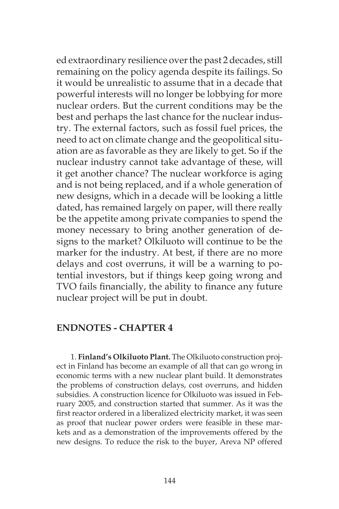ed extraordinary resilience over the past 2 decades, still remaining on the policy agenda despite its failings. So it would be unrealistic to assume that in a decade that powerful interests will no longer be lobbying for more nuclear orders. But the current conditions may be the best and perhaps the last chance for the nuclear industry. The external factors, such as fossil fuel prices, the need to act on climate change and the geopolitical situation are as favorable as they are likely to get. So if the nuclear industry cannot take advantage of these, will it get another chance? The nuclear workforce is aging and is not being replaced, and if a whole generation of new designs, which in a decade will be looking a little dated, has remained largely on paper, will there really be the appetite among private companies to spend the money necessary to bring another generation of designs to the market? Olkiluoto will continue to be the marker for the industry. At best, if there are no more delays and cost overruns, it will be a warning to potential investors, but if things keep going wrong and TVO fails financially, the ability to finance any future nuclear project will be put in doubt.

#### **ENDNOTES - CHAPTER 4**

1. **Finland's Olkiluoto Plant.** The Olkiluoto construction project in Finland has become an example of all that can go wrong in economic terms with a new nuclear plant build. It demonstrates the problems of construction delays, cost overruns, and hidden subsidies. A construction licence for Olkiluoto was issued in February 2005, and construction started that summer. As it was the first reactor ordered in a liberalized electricity market, it was seen as proof that nuclear power orders were feasible in these markets and as a demonstration of the improvements offered by the new designs. To reduce the risk to the buyer, Areva NP offered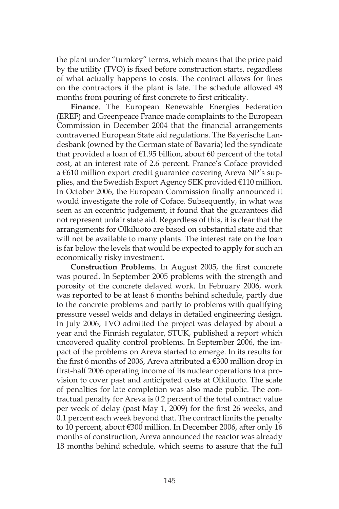the plant under "turnkey" terms, which means that the price paid by the utility (TVO) is fixed before construction starts, regardless of what actually happens to costs. The contract allows for fines on the contractors if the plant is late. The schedule allowed 48 months from pouring of first concrete to first criticality.

**Finance**. The European Renewable Energies Federation (EREF) and Greenpeace France made complaints to the European Commission in December 2004 that the financial arrangements contravened European State aid regulations. The Bayerische Landesbank (owned by the German state of Bavaria) led the syndicate that provided a loan of €1.95 billion, about 60 percent of the total cost, at an interest rate of 2.6 percent. France's Coface provided a €610 million export credit guarantee covering Areva NP's supplies, and the Swedish Export Agency SEK provided €110 million. In October 2006, the European Commission finally announced it would investigate the role of Coface. Subsequently, in what was seen as an eccentric judgement, it found that the guarantees did not represent unfair state aid. Regardless of this, it is clear that the arrangements for Olkiluoto are based on substantial state aid that will not be available to many plants. The interest rate on the loan is far below the levels that would be expected to apply for such an economically risky investment.

**Construction Problems**. In August 2005, the first concrete was poured. In September 2005 problems with the strength and porosity of the concrete delayed work. In February 2006, work was reported to be at least 6 months behind schedule, partly due to the concrete problems and partly to problems with qualifying pressure vessel welds and delays in detailed engineering design. In July 2006, TVO admitted the project was delayed by about a year and the Finnish regulator, STUK, published a report which uncovered quality control problems. In September 2006, the impact of the problems on Areva started to emerge. In its results for the first 6 months of 2006, Areva attributed a €300 million drop in first-half 2006 operating income of its nuclear operations to a provision to cover past and anticipated costs at Olkiluoto. The scale of penalties for late completion was also made public. The contractual penalty for Areva is 0.2 percent of the total contract value per week of delay (past May 1, 2009) for the first 26 weeks, and 0.1 percent each week beyond that. The contract limits the penalty to 10 percent, about €300 million. In December 2006, after only 16 months of construction, Areva announced the reactor was already 18 months behind schedule, which seems to assure that the full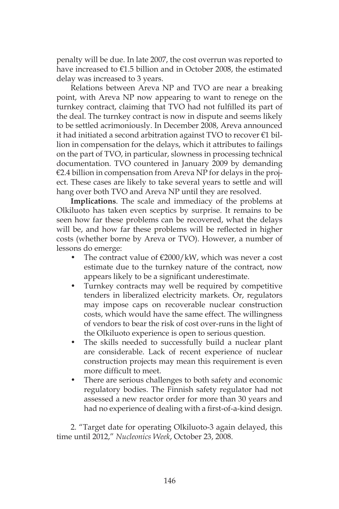penalty will be due. In late 2007, the cost overrun was reported to have increased to €1.5 billion and in October 2008, the estimated delay was increased to 3 years.

Relations between Areva NP and TVO are near a breaking point, with Areva NP now appearing to want to renege on the turnkey contract, claiming that TVO had not fulfilled its part of the deal. The turnkey contract is now in dispute and seems likely to be settled acrimoniously. In December 2008, Areva announced it had initiated a second arbitration against TVO to recover €1 billion in compensation for the delays, which it attributes to failings on the part of TVO, in particular, slowness in processing technical documentation. TVO countered in January 2009 by demanding €2.4 billion in compensation from Areva NP for delays in the project. These cases are likely to take several years to settle and will hang over both TVO and Areva NP until they are resolved.

**Implications**. The scale and immediacy of the problems at Olkiluoto has taken even sceptics by surprise. It remains to be seen how far these problems can be recovered, what the delays will be, and how far these problems will be reflected in higher costs (whether borne by Areva or TVO). However, a number of lessons do emerge:

- The contract value of  $\epsilon$ 2000/kW, which was never a cost estimate due to the turnkey nature of the contract, now appears likely to be a significant underestimate.
- Turnkey contracts may well be required by competitive tenders in liberalized electricity markets. Or, regulators may impose caps on recoverable nuclear construction costs, which would have the same effect. The willingness of vendors to bear the risk of cost over-runs in the light of the Olkiluoto experience is open to serious question.
- The skills needed to successfully build a nuclear plant are considerable. Lack of recent experience of nuclear construction projects may mean this requirement is even more difficult to meet.
- There are serious challenges to both safety and economic regulatory bodies. The Finnish safety regulator had not assessed a new reactor order for more than 30 years and had no experience of dealing with a first-of-a-kind design.

2. "Target date for operating Olkiluoto-3 again delayed, this time until 2012," *Nucleonics Week*, October 23, 2008.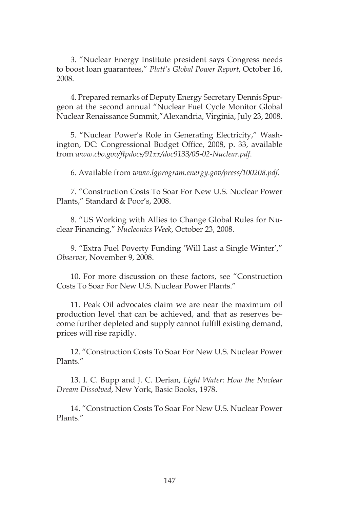3. "Nuclear Energy Institute president says Congress needs to boost loan guarantees," *Platt's Global Power Report*, October 16, 2008.

4. Prepared remarks of Deputy Energy Secretary Dennis Spurgeon at the second annual "Nuclear Fuel Cycle Monitor Global Nuclear Renaissance Summit,"Alexandria, Virginia, July 23, 2008.

5. "Nuclear Power's Role in Generating Electricity," Washington, DC: Congressional Budget Office, 2008, p. 33, available from *www.cbo.gov/ftpdocs/91xx/doc9133/05-02-Nuclear.pdf*.

6. Available from *www.lgprogram.energy.gov/press/100208.pdf*.

7. "Construction Costs To Soar For New U.S. Nuclear Power Plants," Standard & Poor's, 2008.

8. "US Working with Allies to Change Global Rules for Nuclear Financing," *Nucleonics Week*, October 23, 2008.

9. "Extra Fuel Poverty Funding 'Will Last a Single Winter'," *Observer*, November 9, 2008.

10. For more discussion on these factors, see "Construction Costs To Soar For New U.S. Nuclear Power Plants."

11. Peak Oil advocates claim we are near the maximum oil production level that can be achieved, and that as reserves become further depleted and supply cannot fulfill existing demand, prices will rise rapidly.

12. "Construction Costs To Soar For New U.S. Nuclear Power Plants."

13. I. C. Bupp and J. C. Derian, *Light Water: How the Nuclear Dream Dissolved*, New York, Basic Books, 1978.

14. "Construction Costs To Soar For New U.S. Nuclear Power Plants."